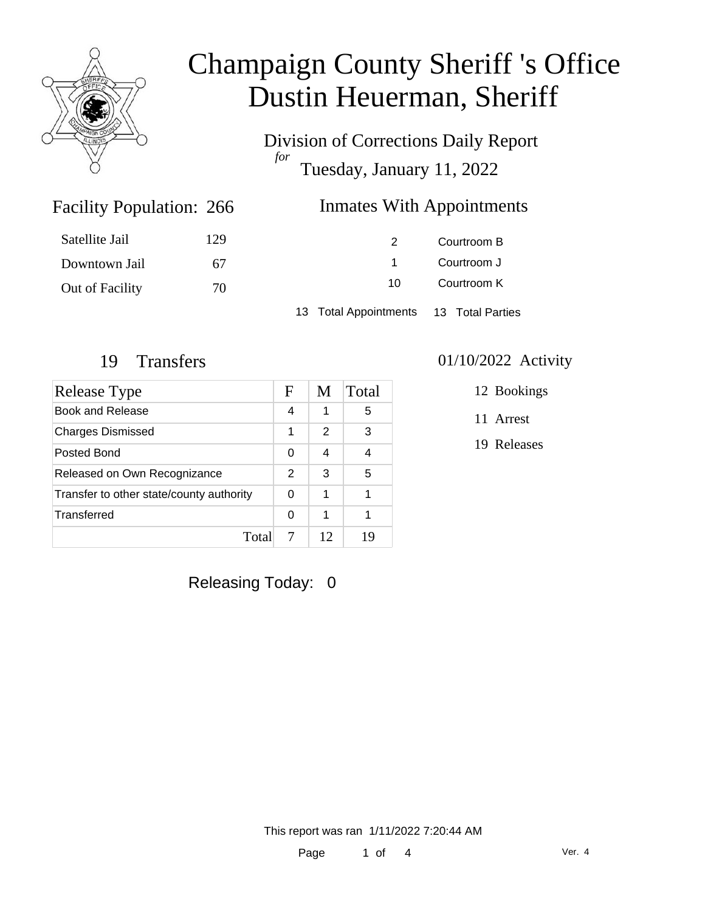

Division of Corrections Daily Report *for* Tuesday, January 11, 2022

### Inmates With Appointments

| Satellite Jail  | 129 |                                        | Courtroom B |  |
|-----------------|-----|----------------------------------------|-------------|--|
| Downtown Jail   | 67  |                                        | Courtroom J |  |
| Out of Facility | 70  | 10.                                    | Courtroom K |  |
|                 |     | 13 Total Appointments 13 Total Parties |             |  |

Facility Population: 266

| Release Type                             |   | M  | Total |
|------------------------------------------|---|----|-------|
| Book and Release                         | 4 | 1  | 5     |
| <b>Charges Dismissed</b>                 | 1 | 2  | 3     |
| Posted Bond                              |   | 4  |       |
| Released on Own Recognizance             |   | 3  | 5     |
| Transfer to other state/county authority |   | 1  |       |
| Transferred                              | 0 | 1  |       |
| Total                                    |   | 12 | 19    |

## Releasing Today: 0

#### 19 Transfers 01/10/2022 Activity

12 Bookings

11 Arrest

19 Releases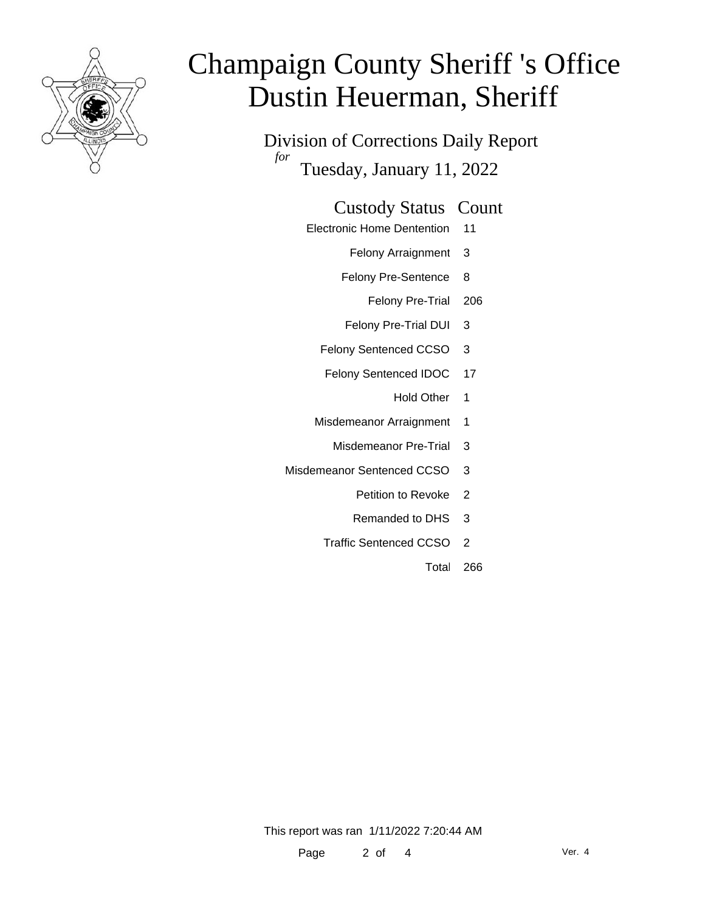

Division of Corrections Daily Report *for* Tuesday, January 11, 2022

### Custody Status Count

- Electronic Home Dentention 11
	- Felony Arraignment 3
	- Felony Pre-Sentence 8
		- Felony Pre-Trial 206
	- Felony Pre-Trial DUI 3
	- Felony Sentenced CCSO 3
	- Felony Sentenced IDOC 17
		- Hold Other 1
	- Misdemeanor Arraignment 1
		- Misdemeanor Pre-Trial 3
- Misdemeanor Sentenced CCSO 3
	- Petition to Revoke 2
	- Remanded to DHS 3
	- Traffic Sentenced CCSO 2
		- Total 266

This report was ran 1/11/2022 7:20:44 AM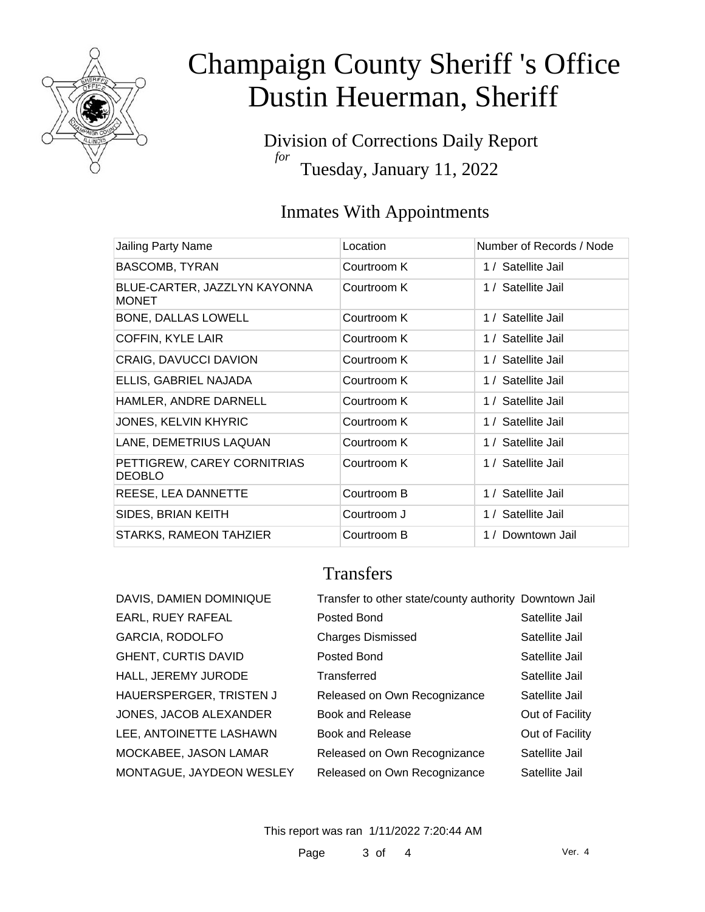

Division of Corrections Daily Report *for* Tuesday, January 11, 2022

### Inmates With Appointments

| Jailing Party Name                           | Location    | Number of Records / Node |
|----------------------------------------------|-------------|--------------------------|
| <b>BASCOMB, TYRAN</b>                        | Courtroom K | 1 / Satellite Jail       |
| BLUE-CARTER, JAZZLYN KAYONNA<br><b>MONET</b> | Courtroom K | 1 / Satellite Jail       |
| <b>BONE, DALLAS LOWELL</b>                   | Courtroom K | 1 / Satellite Jail       |
| COFFIN, KYLE LAIR                            | Courtroom K | 1 / Satellite Jail       |
| CRAIG, DAVUCCI DAVION                        | Courtroom K | 1 / Satellite Jail       |
| ELLIS, GABRIEL NAJADA                        | Courtroom K | 1 / Satellite Jail       |
| HAMLER, ANDRE DARNELL                        | Courtroom K | 1 / Satellite Jail       |
| <b>JONES, KELVIN KHYRIC</b>                  | Courtroom K | 1 / Satellite Jail       |
| LANE, DEMETRIUS LAQUAN                       | Courtroom K | 1 / Satellite Jail       |
| PETTIGREW, CAREY CORNITRIAS<br><b>DEOBLO</b> | Courtroom K | 1 / Satellite Jail       |
| REESE, LEA DANNETTE                          | Courtroom B | 1 / Satellite Jail       |
| SIDES, BRIAN KEITH                           | Courtroom J | 1 / Satellite Jail       |
| STARKS, RAMEON TAHZIER                       | Courtroom B | 1 / Downtown Jail        |

## **Transfers**

| DAVIS, DAMIEN DOMINIQUE  | Transfer to other state/county authority Downtown Jail |                 |
|--------------------------|--------------------------------------------------------|-----------------|
| EARL, RUEY RAFEAL        | Posted Bond                                            | Satellite Jail  |
| GARCIA, RODOLFO          | <b>Charges Dismissed</b>                               | Satellite Jail  |
| GHENT, CURTIS DAVID      | Posted Bond                                            | Satellite Jail  |
| HALL, JEREMY JURODE      | Transferred                                            | Satellite Jail  |
| HAUERSPERGER, TRISTEN J  | Released on Own Recognizance                           | Satellite Jail  |
| JONES, JACOB ALEXANDER   | Book and Release                                       | Out of Facility |
| LEE, ANTOINETTE LASHAWN  | Book and Release                                       | Out of Facility |
| MOCKABEE, JASON LAMAR    | Released on Own Recognizance                           | Satellite Jail  |
| MONTAGUE, JAYDEON WESLEY | Released on Own Recognizance                           | Satellite Jail  |
|                          |                                                        |                 |

This report was ran 1/11/2022 7:20:44 AM